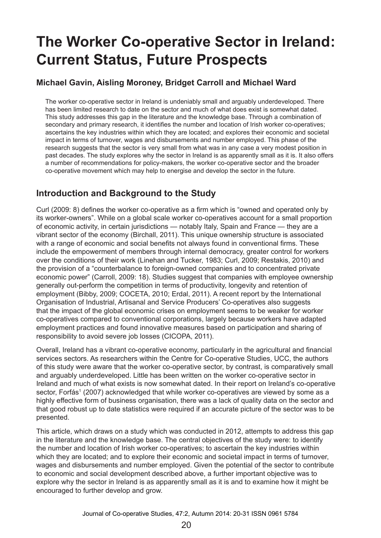# **The Worker Co-operative Sector in Ireland: Current Status, Future Prospects**

### **Michael Gavin, Aisling Moroney, Bridget Carroll and Michael Ward**

The worker co-operative sector in Ireland is undeniably small and arguably underdeveloped. There has been limited research to date on the sector and much of what does exist is somewhat dated. This study addresses this gap in the literature and the knowledge base. Through a combination of secondary and primary research, it identifies the number and location of Irish worker co-operatives; ascertains the key industries within which they are located; and explores their economic and societal impact in terms of turnover, wages and disbursements and number employed. This phase of the research suggests that the sector is very small from what was in any case a very modest position in past decades. The study explores why the sector in Ireland is as apparently small as it is. It also offers a number of recommendations for policy-makers, the worker co-operative sector and the broader co-operative movement which may help to energise and develop the sector in the future.

# **Introduction and Background to the Study**

Curl (2009: 8) defines the worker co-operative as a firm which is "owned and operated only by its worker-owners". While on a global scale worker co-operatives account for a small proportion of economic activity, in certain jurisdictions — notably Italy, Spain and France — they are a vibrant sector of the economy (Birchall, 2011). This unique ownership structure is associated with a range of economic and social benefits not always found in conventional firms. These include the empowerment of members through internal democracy, greater control for workers over the conditions of their work (Linehan and Tucker, 1983; Curl, 2009; Restakis, 2010) and the provision of a "counterbalance to foreign-owned companies and to concentrated private economic power" (Carroll, 2009: 18). Studies suggest that companies with employee ownership generally out-perform the competition in terms of productivity, longevity and retention of employment (Bibby, 2009; COCETA, 2010; Erdal, 2011). A recent report by the International Organisation of Industrial, Artisanal and Service Producers' Co-operatives also suggests that the impact of the global economic crises on employment seems to be weaker for worker co-operatives compared to conventional corporations, largely because workers have adapted employment practices and found innovative measures based on participation and sharing of responsibility to avoid severe job losses (CICOPA, 2011).

Overall, Ireland has a vibrant co-operative economy, particularly in the agricultural and financial services sectors. As researchers within the Centre for Co-operative Studies, UCC, the authors of this study were aware that the worker co-operative sector, by contrast, is comparatively small and arguably underdeveloped. Little has been written on the worker co-operative sector in Ireland and much of what exists is now somewhat dated. In their report on Ireland's co-operative sector, Forfás<sup>1</sup> (2007) acknowledged that while worker co-operatives are viewed by some as a highly effective form of business organisation, there was a lack of quality data on the sector and that good robust up to date statistics were required if an accurate picture of the sector was to be presented.

This article, which draws on a study which was conducted in 2012, attempts to address this gap in the literature and the knowledge base. The central objectives of the study were: to identify the number and location of Irish worker co-operatives; to ascertain the key industries within which they are located; and to explore their economic and societal impact in terms of turnover, wages and disbursements and number employed. Given the potential of the sector to contribute to economic and social development described above, a further important objective was to explore why the sector in Ireland is as apparently small as it is and to examine how it might be encouraged to further develop and grow.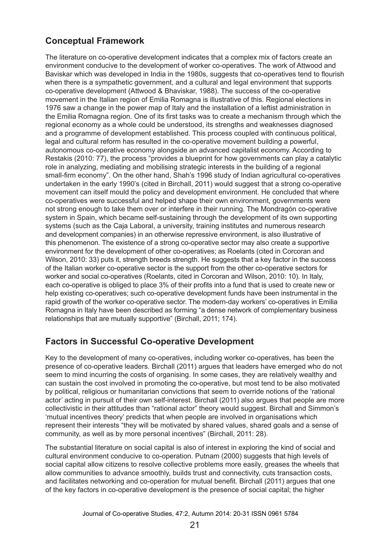# **Conceptual Framework**

The literature on co-operative development indicates that a complex mix of factors create an environment conducive to the development of worker co-operatives. The work of Attwood and Baviskar which was developed in India in the 1980s, suggests that co-operatives tend to flourish when there is a sympathetic government, and a cultural and legal environment that supports co-operative development (Attwood & Bhaviskar, 1988). The success of the co-operative movement in the Italian region of Emilia Romagna is illustrative of this. Regional elections in 1976 saw a change in the power map of Italy and the installation of a leftist administration in the Emilia Romagna region. One of its first tasks was to create a mechanism through which the regional economy as a whole could be understood, its strengths and weaknesses diagnosed and a programme of development established. This process coupled with continuous political, legal and cultural reform has resulted in the co-operative movement building a powerful, autonomous co-operative economy alongside an advanced capitalist economy. According to Restakis (2010: 77), the process "provides a blueprint for how governments can play a catalytic role in analyzing, mediating and mobilising strategic interests in the building of a regional small-firm economy". On the other hand, Shah's 1996 study of Indian agricultural co-operatives undertaken in the early 1990's (cited in Birchall, 2011) would suggest that a strong co-operative movement can itself mould the policy and development environment. He concluded that where co-operatives were successful and helped shape their own environment, governments were not strong enough to take them over or interfere in their running. The Mondragón co-operative system in Spain, which became self-sustaining through the development of its own supporting systems (such as the Caja Laboral, a university, training institutes and numerous research and development companies) in an otherwise repressive environment, is also illustrative of this phenomenon. The existence of a strong co-operative sector may also create a supportive environment for the development of other co-operatives; as Roelants (cited in Corcoran and Wilson, 2010: 33) puts it, strength breeds strength. He suggests that a key factor in the success of the Italian worker co-operative sector is the support from the other co-operative sectors for worker and social co-operatives (Roelants, cited in Corcoran and Wilson, 2010: 10). In Italy, each co-operative is obliged to place 3% of their profits into a fund that is used to create new or help existing co-operatives; such co-operative development funds have been instrumental in the rapid growth of the worker co-operative sector. The modern-day workers' co-operatives in Emilia Romagna in Italy have been described as forming "a dense network of complementary business relationships that are mutually supportive" (Birchall, 2011; 174).

# **Factors in Successful Co-operative Development**

Key to the development of many co-operatives, including worker co-operatives, has been the presence of co-operative leaders. Birchall (2011) argues that leaders have emerged who do not seem to mind incurring the costs of organising. In some cases, they are relatively wealthy and can sustain the cost involved in promoting the co-operative, but most tend to be also motivated by political, religious or humanitarian convictions that seem to override notions of the 'rational actor' acting in pursuit of their own self-interest. Birchall (2011) also argues that people are more collectivistic in their attitudes than "rational actor" theory would suggest. Birchall and Simmon's 'mutual incentives theory' predicts that when people are involved in organisations which represent their interests "they will be motivated by shared values, shared goals and a sense of community, as well as by more personal incentives" (Birchall, 2011: 28).

The substantial literature on social capital is also of interest in exploring the kind of social and cultural environment conducive to co-operation. Putnam (2000) suggests that high levels of social capital allow citizens to resolve collective problems more easily, greases the wheels that allow communities to advance smoothly, builds trust and connectivity, cuts transaction costs, and facilitates networking and co-operation for mutual benefit. Birchall (2011) argues that one of the key factors in co-operative development is the presence of social capital; the higher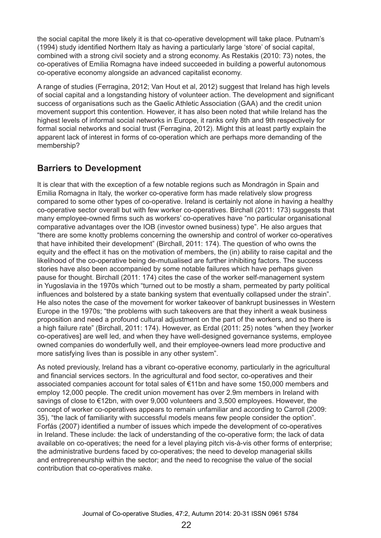the social capital the more likely it is that co-operative development will take place. Putnam's (1994) study identified Northern Italy as having a particularly large 'store' of social capital, combined with a strong civil society and a strong economy. As Restakis (2010: 73) notes, the co-operatives of Emilia Romagna have indeed succeeded in building a powerful autonomous co-operative economy alongside an advanced capitalist economy.

A range of studies (Ferragina, 2012; Van Hout et al, 2012) suggest that Ireland has high levels of social capital and a longstanding history of volunteer action. The development and significant success of organisations such as the Gaelic Athletic Association (GAA) and the credit union movement support this contention. However, it has also been noted that while Ireland has the highest levels of informal social networks in Europe, it ranks only 8th and 9th respectively for formal social networks and social trust (Ferragina, 2012). Might this at least partly explain the apparent lack of interest in forms of co-operation which are perhaps more demanding of the membership?

# **Barriers to Development**

It is clear that with the exception of a few notable regions such as Mondragón in Spain and Emilia Romagna in Italy, the worker co-operative form has made relatively slow progress compared to some other types of co-operative. Ireland is certainly not alone in having a healthy co-operative sector overall but with few worker co-operatives. Birchall (2011: 173) suggests that many employee-owned firms such as workers' co-operatives have "no particular organisational comparative advantages over the IOB (investor owned business) type". He also argues that "there are some knotty problems concerning the ownership and control of worker co-operatives that have inhibited their development" (Birchall, 2011: 174). The question of who owns the equity and the effect it has on the motivation of members, the (in) ability to raise capital and the likelihood of the co-operative being de-mutualised are further inhibiting factors. The success stories have also been accompanied by some notable failures which have perhaps given pause for thought. Birchall (2011: 174) cites the case of the worker self-management system in Yugoslavia in the 1970s which "turned out to be mostly a sham, permeated by party political influences and bolstered by a state banking system that eventually collapsed under the strain". He also notes the case of the movement for worker takeover of bankrupt businesses in Western Europe in the 1970s; "the problems with such takeovers are that they inherit a weak business proposition and need a profound cultural adjustment on the part of the workers, and so there is a high failure rate" (Birchall, 2011: 174). However, as Erdal (2011: 25) notes "when they [worker co-operatives] are well led, and when they have well-designed governance systems, employee owned companies do wonderfully well, and their employee-owners lead more productive and more satisfying lives than is possible in any other system".

As noted previously, Ireland has a vibrant co-operative economy, particularly in the agricultural and financial services sectors. In the agricultural and food sector, co-operatives and their associated companies account for total sales of €11bn and have some 150,000 members and employ 12,000 people. The credit union movement has over 2.9m members in Ireland with savings of close to €12bn, with over 9,000 volunteers and 3,500 employees. However, the concept of worker co-operatives appears to remain unfamiliar and according to Carroll (2009: 35), "the lack of familiarity with successful models means few people consider the option". Forfás (2007) identified a number of issues which impede the development of co‑operatives in Ireland. These include: the lack of understanding of the co-operative form; the lack of data available on co-operatives; the need for a level playing pitch vis-à-vis other forms of enterprise; the administrative burdens faced by co-operatives; the need to develop managerial skills and entrepreneurship within the sector; and the need to recognise the value of the social contribution that co-operatives make.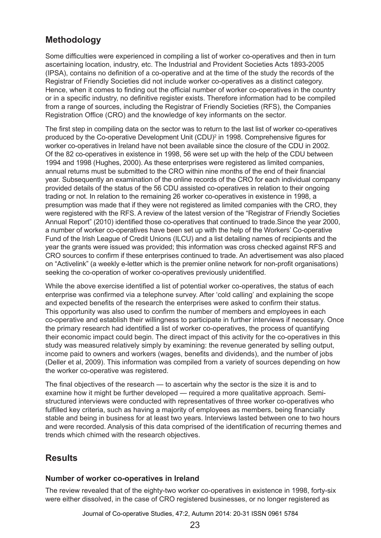# **Methodology**

Some difficulties were experienced in compiling a list of worker co-operatives and then in turn ascertaining location, industry, etc. The Industrial and Provident Societies Acts 1893-2005 (IPSA), contains no definition of a co-operative and at the time of the study the records of the Registrar of Friendly Societies did not include worker co-operatives as a distinct category. Hence, when it comes to finding out the official number of worker co-operatives in the country or in a specific industry, no definitive register exists. Therefore information had to be compiled from a range of sources, including the Registrar of Friendly Societies (RFS), the Companies Registration Office (CRO) and the knowledge of key informants on the sector.

The first step in compiling data on the sector was to return to the last list of worker co-operatives produced by the Co-operative Development Unit (CDU)<sup>2</sup> in 1998. Comprehensive figures for worker co-operatives in Ireland have not been available since the closure of the CDU in 2002. Of the 82 co-operatives in existence in 1998, 56 were set up with the help of the CDU between 1994 and 1998 (Hughes, 2000). As these enterprises were registered as limited companies, annual returns must be submitted to the CRO within nine months of the end of their financial year. Subsequently an examination of the online records of the CRO for each individual company provided details of the status of the 56 CDU assisted co-operatives in relation to their ongoing trading or not. In relation to the remaining 26 worker co-operatives in existence in 1998, a presumption was made that if they were not registered as limited companies with the CRO, they were registered with the RFS. A review of the latest version of the "Registrar of Friendly Societies" Annual Report" (2010) identified those co-operatives that continued to trade.Since the year 2000, a number of worker co-operatives have been set up with the help of the Workers' Co-operative Fund of the Irish League of Credit Unions (ILCU) and a list detailing names of recipients and the year the grants were issued was provided; this information was cross checked against RFS and CRO sources to confirm if these enterprises continued to trade. An advertisement was also placed on "Activelink" (a weekly e-letter which is the premier online network for non-profit organisations) seeking the co-operation of worker co-operatives previously unidentified.

While the above exercise identified a list of potential worker co-operatives, the status of each enterprise was confirmed via a telephone survey. After 'cold calling' and explaining the scope and expected benefits of the research the enterprises were asked to confirm their status. This opportunity was also used to confirm the number of members and employees in each co-operative and establish their willingness to participate in further interviews if necessary. Once the primary research had identified a list of worker co-operatives, the process of quantifying their economic impact could begin. The direct impact of this activity for the co-operatives in this study was measured relatively simply by examining: the revenue generated by selling output, income paid to owners and workers (wages, benefits and dividends), and the number of jobs (Deller et al, 2009). This information was compiled from a variety of sources depending on how the worker co-operative was registered.

The final objectives of the research — to ascertain why the sector is the size it is and to examine how it might be further developed — required a more qualitative approach. Semistructured interviews were conducted with representatives of three worker co-operatives who fulfilled key criteria, such as having a majority of employees as members, being financially stable and being in business for at least two years. Interviews lasted between one to two hours and were recorded. Analysis of this data comprised of the identification of recurring themes and trends which chimed with the research objectives.

## **Results**

#### **Number of worker co-operatives in Ireland**

The review revealed that of the eighty-two worker co-operatives in existence in 1998, forty-six were either dissolved, in the case of CRO registered businesses, or no longer registered as

Journal of Co-operative Studies, 47:2, Autumn 2014: 20-31 ISSN 0961 5784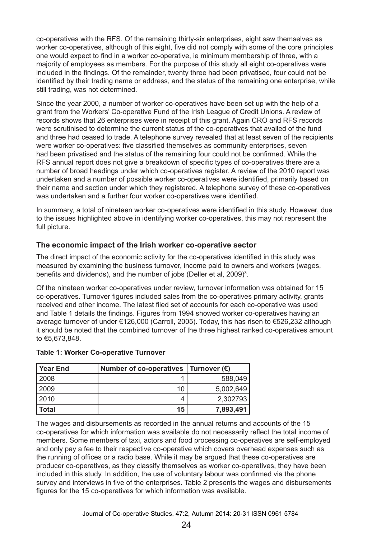co-operatives with the RFS. Of the remaining thirty-six enterprises, eight saw themselves as worker co-operatives, although of this eight, five did not comply with some of the core principles one would expect to find in a worker co-operative, ie minimum membership of three, with a majority of employees as members. For the purpose of this study all eight co-operatives were included in the findings. Of the remainder, twenty three had been privatised, four could not be identified by their trading name or address, and the status of the remaining one enterprise, while still trading, was not determined.

Since the year 2000, a number of worker co-operatives have been set up with the help of a grant from the Workers' Co-operative Fund of the Irish League of Credit Unions. A review of records shows that 26 enterprises were in receipt of this grant. Again CRO and RFS records were scrutinised to determine the current status of the co-operatives that availed of the fund and three had ceased to trade. A telephone survey revealed that at least seven of the recipients were worker co-operatives: five classified themselves as community enterprises, seven had been privatised and the status of the remaining four could not be confirmed. While the RFS annual report does not give a breakdown of specific types of co-operatives there are a number of broad headings under which co-operatives register. A review of the 2010 report was undertaken and a number of possible worker co-operatives were identified, primarily based on their name and section under which they registered. A telephone survey of these co-operatives was undertaken and a further four worker co-operatives were identified.

In summary, a total of nineteen worker co-operatives were identified in this study. However, due to the issues highlighted above in identifying worker co-operatives, this may not represent the full picture.

#### **The economic impact of the Irish worker co-operative sector**

The direct impact of the economic activity for the co-operatives identified in this study was measured by examining the business turnover, income paid to owners and workers (wages, benefits and dividends), and the number of jobs (Deller et al, 2009)<sup>3</sup>.

Of the nineteen worker co-operatives under review, turnover information was obtained for 15 co-operatives. Turnover figures included sales from the co-operatives primary activity, grants received and other income. The latest filed set of accounts for each co-operative was used and Table 1 details the findings. Figures from 1994 showed worker co-operatives having an average turnover of under €126,000 (Carroll, 2005). Today, this has risen to €526,232 although it should be noted that the combined turnover of the three highest ranked co-operatives amount to €5,673,848.

| <b>Year End</b> | Number of co-operatives   Turnover $(\epsilon)$ |           |
|-----------------|-------------------------------------------------|-----------|
| 2008            |                                                 | 588,049   |
| 2009            | 10                                              | 5,002,649 |
| 2010            |                                                 | 2,302793  |
| Total           | 15                                              | 7,893,491 |

#### **Table 1: Worker Co-operative Turnover**

The wages and disbursements as recorded in the annual returns and accounts of the 15 co‑operatives for which information was available do not necessarily reflect the total income of members. Some members of taxi, actors and food processing co-operatives are self-employed and only pay a fee to their respective co-operative which covers overhead expenses such as the running of offices or a radio base. While it may be argued that these co-operatives are producer co-operatives, as they classify themselves as worker co-operatives, they have been included in this study. In addition, the use of voluntary labour was confirmed via the phone survey and interviews in five of the enterprises. Table 2 presents the wages and disbursements figures for the 15 co-operatives for which information was available.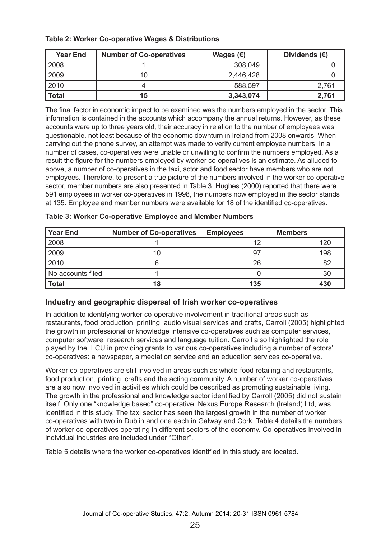| <b>Year End</b> | <b>Number of Co-operatives</b> | Wages $(\epsilon)$ | Dividends $(E)$ |
|-----------------|--------------------------------|--------------------|-----------------|
| 2008            |                                | 308,049            |                 |
| 2009            | 10                             | 2,446,428          |                 |
| 2010            |                                | 588,597            | 2,761           |
| <b>Total</b>    | 15                             | 3,343,074          | 2,761           |

#### **Table 2: Worker Co-operative Wages & Distributions**

The final factor in economic impact to be examined was the numbers employed in the sector. This information is contained in the accounts which accompany the annual returns. However, as these accounts were up to three years old, their accuracy in relation to the number of employees was questionable, not least because of the economic downturn in Ireland from 2008 onwards. When carrying out the phone survey, an attempt was made to verify current employee numbers. In a number of cases, co-operatives were unable or unwilling to confirm the numbers employed. As a result the figure for the numbers employed by worker co-operatives is an estimate. As alluded to above, a number of co-operatives in the taxi, actor and food sector have members who are not employees. Therefore, to present a true picture of the numbers involved in the worker co-operative sector, member numbers are also presented in Table 3. Hughes (2000) reported that there were 591 employees in worker co-operatives in 1998, the numbers now employed in the sector stands at 135. Employee and member numbers were available for 18 of the identified co-operatives.

| <b>Year End</b>   | <b>Number of Co-operatives</b> | <b>Employees</b> | <b>Members</b> |
|-------------------|--------------------------------|------------------|----------------|
| 2008              |                                |                  | 120            |
| 2009              |                                |                  | 198            |
| 2010              |                                | 26               | 82             |
| No accounts filed |                                |                  | 30             |
| <b>Total</b>      | 18                             | 135              | 430            |

**Table 3: Worker Co-operative Employee and Member Numbers**

#### **Industry and geographic dispersal of Irish worker co-operatives**

In addition to identifying worker co-operative involvement in traditional areas such as restaurants, food production, printing, audio visual services and crafts, Carroll (2005) highlighted the growth in professional or knowledge intensive co-operatives such as computer services, computer software, research services and language tuition. Carroll also highlighted the role played by the ILCU in providing grants to various co-operatives including a number of actors' co-operatives: a newspaper, a mediation service and an education services co-operative.

Worker co-operatives are still involved in areas such as whole-food retailing and restaurants, food production, printing, crafts and the acting community. A number of worker co-operatives are also now involved in activities which could be described as promoting sustainable living. The growth in the professional and knowledge sector identified by Carroll (2005) did not sustain itself. Only one "knowledge based" co-operative, Nexus Europe Research (Ireland) Ltd, was identified in this study. The taxi sector has seen the largest growth in the number of worker co-operatives with two in Dublin and one each in Galway and Cork. Table 4 details the numbers of worker co-operatives operating in different sectors of the economy. Co-operatives involved in individual industries are included under "Other".

Table 5 details where the worker co-operatives identified in this study are located.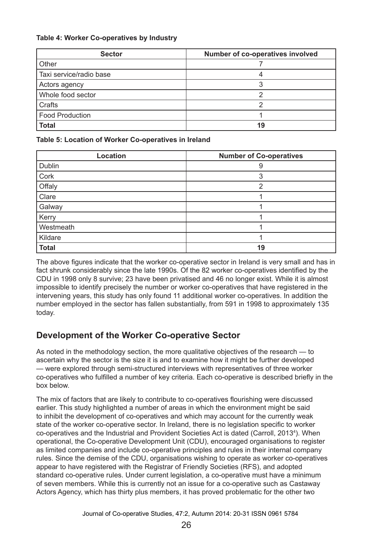#### **Table 4: Worker Co-operatives by Industry**

| <b>Sector</b>           | Number of co-operatives involved |
|-------------------------|----------------------------------|
| Other                   |                                  |
| Taxi service/radio base |                                  |
| Actors agency           |                                  |
| Whole food sector       |                                  |
| Crafts                  |                                  |
| <b>Food Production</b>  |                                  |
| <b>Total</b>            | 19                               |

#### **Table 5: Location of Worker Co-operatives in Ireland**

| <b>Location</b> | <b>Number of Co-operatives</b> |
|-----------------|--------------------------------|
| Dublin          | 9                              |
| Cork            | 3                              |
| Offaly          | າ                              |
| Clare           |                                |
| Galway          |                                |
| Kerry           |                                |
| Westmeath       |                                |
| Kildare         |                                |
| <b>Total</b>    | 19                             |

The above figures indicate that the worker co-operative sector in Ireland is very small and has in fact shrunk considerably since the late 1990s. Of the 82 worker co-operatives identified by the CDU in 1998 only 8 survive; 23 have been privatised and 46 no longer exist. While it is almost impossible to identify precisely the number or worker co-operatives that have registered in the intervening years, this study has only found 11 additional worker co-operatives. In addition the number employed in the sector has fallen substantially, from 591 in 1998 to approximately 135 today.

## **Development of the Worker Co-operative Sector**

As noted in the methodology section, the more qualitative objectives of the research — to ascertain why the sector is the size it is and to examine how it might be further developed — were explored through semi-structured interviews with representatives of three worker co‑operatives who fulfilled a number of key criteria. Each co-operative is described briefly in the box below.

The mix of factors that are likely to contribute to co-operatives flourishing were discussed earlier. This study highlighted a number of areas in which the environment might be said to inhibit the development of co-operatives and which may account for the currently weak state of the worker co-operative sector. In Ireland, there is no legislation specific to worker co-operatives and the Industrial and Provident Societies Act is dated (Carroll, 2013<sup>4</sup>). When operational, the Co-operative Development Unit (CDU), encouraged organisations to register as limited companies and include co-operative principles and rules in their internal company rules. Since the demise of the CDU, organisations wishing to operate as worker co-operatives appear to have registered with the Registrar of Friendly Societies (RFS), and adopted standard co-operative rules. Under current legislation, a co-operative must have a minimum of seven members. While this is currently not an issue for a co-operative such as Castaway Actors Agency, which has thirty plus members, it has proved problematic for the other two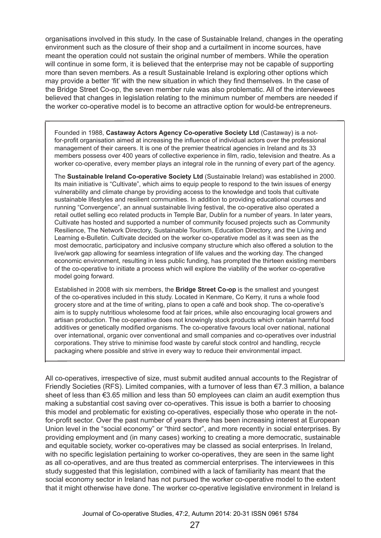organisations involved in this study. In the case of Sustainable Ireland, changes in the operating environment such as the closure of their shop and a curtailment in income sources, have meant the operation could not sustain the original number of members. While the operation will continue in some form, it is believed that the enterprise may not be capable of supporting more than seven members. As a result Sustainable Ireland is exploring other options which may provide a better 'fit' with the new situation in which they find themselves. In the case of the Bridge Street Co-op, the seven member rule was also problematic. All of the interviewees believed that changes in legislation relating to the minimum number of members are needed if the worker co-operative model is to become an attractive option for would-be entrepreneurs.

Founded in 1988, **Castaway Actors Agency Co-operative Society Ltd** (Castaway) is a notfor-profit organisation aimed at increasing the influence of individual actors over the professional management of their careers. It is one of the premier theatrical agencies in Ireland and its 33 members possess over 400 years of collective experience in film, radio, television and theatre. As a worker co-operative, every member plays an integral role in the running of every part of the agency.

The **Sustainable Ireland Co-operative Society Ltd** (Sustainable Ireland) was established in 2000. Its main initiative is "Cultivate", which aims to equip people to respond to the twin issues of energy vulnerability and climate change by providing access to the knowledge and tools that cultivate sustainable lifestyles and resilient communities. In addition to providing educational courses and running "Convergence", an annual sustainable living festival, the co-operative also operated a retail outlet selling eco related products in Temple Bar, Dublin for a number of years. In later years, Cultivate has hosted and supported a number of community focused projects such as Community Resilience, The Network Directory, Sustainable Tourism, Education Directory, and the Living and Learning e-Bulletin. Cultivate decided on the worker co-operative model as it was seen as the most democratic, participatory and inclusive company structure which also offered a solution to the live/work gap allowing for seamless integration of life values and the working day. The changed economic environment, resulting in less public funding, has prompted the thirteen existing members of the co-operative to initiate a process which will explore the viability of the worker co-operative model going forward.

Established in 2008 with six members, the **Bridge Street Co-op** is the smallest and youngest of the co-operatives included in this study. Located in Kenmare, Co Kerry, it runs a whole food grocery store and at the time of writing, plans to open a café and book shop. The co-operative's aim is to supply nutritious wholesome food at fair prices, while also encouraging local growers and artisan production. The co-operative does not knowingly stock products which contain harmful food additives or genetically modified organisms. The co-operative favours local over national, national over international, organic over conventional and small companies and co-operatives over industrial corporations. They strive to minimise food waste by careful stock control and handling, recycle packaging where possible and strive in every way to reduce their environmental impact.

All co-operatives, irrespective of size, must submit audited annual accounts to the Registrar of Friendly Societies (RFS). Limited companies, with a turnover of less than €7.3 million, a balance sheet of less than €3.65 million and less than 50 employees can claim an audit exemption thus making a substantial cost saving over co-operatives. This issue is both a barrier to choosing this model and problematic for existing co-operatives, especially those who operate in the notfor-profit sector. Over the past number of years there has been increasing interest at European Union level in the "social economy" or "third sector", and more recently in social enterprises. By providing employment and (in many cases) working to creating a more democratic, sustainable and equitable society, worker co-operatives may be classed as social enterprises. In Ireland, with no specific legislation pertaining to worker co-operatives, they are seen in the same light as all co-operatives, and are thus treated as commercial enterprises. The interviewees in this study suggested that this legislation, combined with a lack of familiarity has meant that the social economy sector in Ireland has not pursued the worker co-operative model to the extent that it might otherwise have done. The worker co-operative legislative environment in Ireland is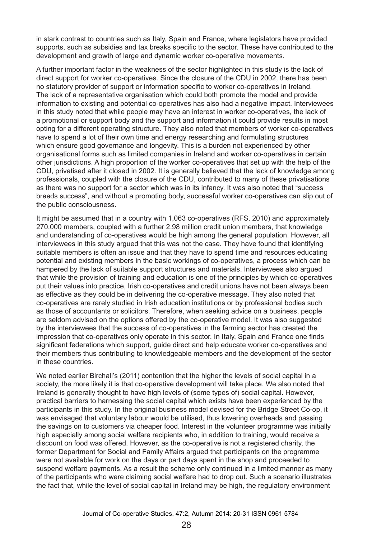in stark contrast to countries such as Italy, Spain and France, where legislators have provided supports, such as subsidies and tax breaks specific to the sector. These have contributed to the development and growth of large and dynamic worker co-operative movements.

A further important factor in the weakness of the sector highlighted in this study is the lack of direct support for worker co-operatives. Since the closure of the CDU in 2002, there has been no statutory provider of support or information specific to worker co-operatives in Ireland. The lack of a representative organisation which could both promote the model and provide information to existing and potential co-operatives has also had a negative impact. Interviewees in this study noted that while people may have an interest in worker co-operatives, the lack of a promotional or support body and the support and information it could provide results in most opting for a different operating structure. They also noted that members of worker co-operatives have to spend a lot of their own time and energy researching and formulating structures which ensure good governance and longevity. This is a burden not experienced by other organisational forms such as limited companies in Ireland and worker co-operatives in certain other jurisdictions. A high proportion of the worker co-operatives that set up with the help of the CDU, privatised after it closed in 2002. It is generally believed that the lack of knowledge among professionals, coupled with the closure of the CDU, contributed to many of these privatisations as there was no support for a sector which was in its infancy. It was also noted that "success breeds success", and without a promoting body, successful worker co-operatives can slip out of the public consciousness.

It might be assumed that in a country with 1,063 co-operatives (RFS, 2010) and approximately 270,000 members, coupled with a further 2.98 million credit union members, that knowledge and understanding of co-operatives would be high among the general population. However, all interviewees in this study argued that this was not the case. They have found that identifying suitable members is often an issue and that they have to spend time and resources educating potential and existing members in the basic workings of co-operatives, a process which can be hampered by the lack of suitable support structures and materials. Interviewees also argued that while the provision of training and education is one of the principles by which co-operatives put their values into practice, Irish co-operatives and credit unions have not been always been as effective as they could be in delivering the co-operative message. They also noted that co-operatives are rarely studied in Irish education institutions or by professional bodies such as those of accountants or solicitors. Therefore, when seeking advice on a business, people are seldom advised on the options offered by the co-operative model. It was also suggested by the interviewees that the success of co-operatives in the farming sector has created the impression that co-operatives only operate in this sector. In Italy, Spain and France one finds significant federations which support, guide direct and help educate worker co-operatives and their members thus contributing to knowledgeable members and the development of the sector in these countries.

We noted earlier Birchall's (2011) contention that the higher the levels of social capital in a society, the more likely it is that co-operative development will take place. We also noted that Ireland is generally thought to have high levels of (some types of) social capital. However, practical barriers to harnessing the social capital which exists have been experienced by the participants in this study. In the original business model devised for the Bridge Street Co-op, it was envisaged that voluntary labour would be utilised, thus lowering overheads and passing the savings on to customers via cheaper food. Interest in the volunteer programme was initially high especially among social welfare recipients who, in addition to training, would receive a discount on food was offered. However, as the co-operative is not a registered charity, the former Department for Social and Family Affairs argued that participants on the programme were not available for work on the days or part days spent in the shop and proceeded to suspend welfare payments. As a result the scheme only continued in a limited manner as many of the participants who were claiming social welfare had to drop out. Such a scenario illustrates the fact that, while the level of social capital in Ireland may be high, the regulatory environment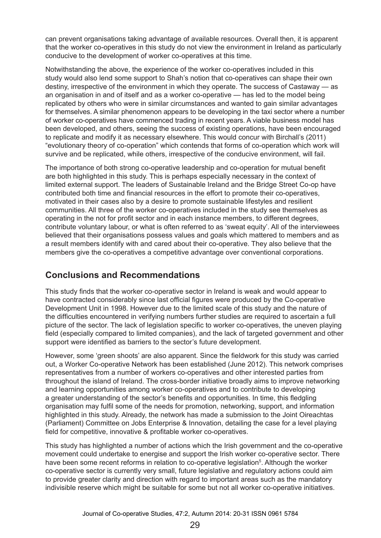can prevent organisations taking advantage of available resources. Overall then, it is apparent that the worker co-operatives in this study do not view the environment in Ireland as particularly conducive to the development of worker co-operatives at this time.

Notwithstanding the above, the experience of the worker co-operatives included in this study would also lend some support to Shah's notion that co-operatives can shape their own destiny, irrespective of the environment in which they operate. The success of Castaway — as an organisation in and of itself and as a worker co-operative — has led to the model being replicated by others who were in similar circumstances and wanted to gain similar advantages for themselves. A similar phenomenon appears to be developing in the taxi sector where a number of worker co-operatives have commenced trading in recent years. A viable business model has been developed, and others, seeing the success of existing operations, have been encouraged to replicate and modify it as necessary elsewhere. This would concur with Birchall's (2011) "evolutionary theory of co-operation" which contends that forms of co-operation which work will survive and be replicated, while others, irrespective of the conducive environment, will fail.

The importance of both strong co-operative leadership and co-operation for mutual benefit are both highlighted in this study. This is perhaps especially necessary in the context of limited external support. The leaders of Sustainable Ireland and the Bridge Street Co-op have contributed both time and financial resources in the effort to promote their co-operatives, motivated in their cases also by a desire to promote sustainable lifestyles and resilient communities. All three of the worker co-operatives included in the study see themselves as operating in the not for profit sector and in each instance members, to different degrees, contribute voluntary labour, or what is often referred to as 'sweat equity'. All of the interviewees believed that their organisations possess values and goals which mattered to members and as a result members identify with and cared about their co-operative. They also believe that the members give the co-operatives a competitive advantage over conventional corporations.

# **Conclusions and Recommendations**

This study finds that the worker co-operative sector in Ireland is weak and would appear to have contracted considerably since last official figures were produced by the Co-operative Development Unit in 1998. However due to the limited scale of this study and the nature of the difficulties encountered in verifying numbers further studies are required to ascertain a full picture of the sector. The lack of legislation specific to worker co-operatives, the uneven playing field (especially compared to limited companies), and the lack of targeted government and other support were identified as barriers to the sector's future development.

However, some 'green shoots' are also apparent. Since the fieldwork for this study was carried out, a Worker Co-operative Network has been established (June 2012). This network comprises representatives from a number of workers co-operatives and other interested parties from throughout the island of Ireland. The cross-border initiative broadly aims to improve networking and learning opportunities among worker co-operatives and to contribute to developing a greater understanding of the sector's benefits and opportunities. In time, this fledgling organisation may fulfil some of the needs for promotion, networking, support, and information highlighted in this study. Already, the network has made a submission to the Joint Oireachtas (Parliament) Committee on Jobs Enterprise & Innovation, detailing the case for a level playing field for competitive, innovative & profitable worker co-operatives.

This study has highlighted a number of actions which the Irish government and the co-operative movement could undertake to energise and support the Irish worker co-operative sector. There have been some recent reforms in relation to co-operative legislation<sup>5</sup>. Although the worker co-operative sector is currently very small, future legislative and regulatory actions could aim to provide greater clarity and direction with regard to important areas such as the mandatory indivisible reserve which might be suitable for some but not all worker co-operative initiatives.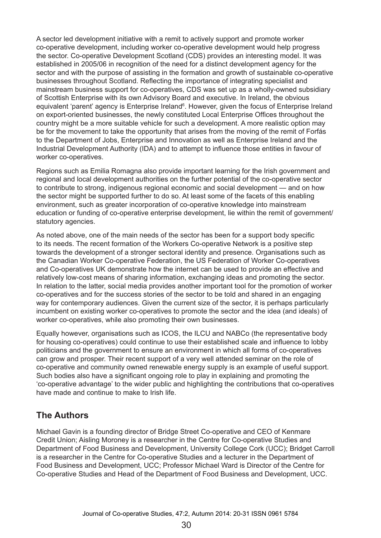A sector led development initiative with a remit to actively support and promote worker co-operative development, including worker co-operative development would help progress the sector. Co-operative Development Scotland (CDS) provides an interesting model. It was established in 2005/06 in recognition of the need for a distinct development agency for the sector and with the purpose of assisting in the formation and growth of sustainable co-operative businesses throughout Scotland. Reflecting the importance of integrating specialist and mainstream business support for co-operatives, CDS was set up as a wholly-owned subsidiary of Scottish Enterprise with its own Advisory Board and executive. In Ireland, the obvious equivalent 'parent' agency is Enterprise Ireland<sup>6</sup>. However, given the focus of Enterprise Ireland on export-oriented businesses, the newly constituted Local Enterprise Offices throughout the country might be a more suitable vehicle for such a development. A more realistic option may be for the movement to take the opportunity that arises from the moving of the remit of Forfás to the Department of Jobs, Enterprise and Innovation as well as Enterprise Ireland and the Industrial Development Authority (IDA) and to attempt to influence those entities in favour of worker co-operatives.

Regions such as Emilia Romagna also provide important learning for the Irish government and regional and local development authorities on the further potential of the co-operative sector to contribute to strong, indigenous regional economic and social development — and on how the sector might be supported further to do so. At least some of the facets of this enabling environment, such as greater incorporation of co-operative knowledge into mainstream education or funding of co-operative enterprise development, lie within the remit of government/ statutory agencies.

As noted above, one of the main needs of the sector has been for a support body specific to its needs. The recent formation of the Workers Co-operative Network is a positive step towards the development of a stronger sectoral identity and presence. Organisations such as the Canadian Worker Co-operative Federation, the US Federation of Worker Co-operatives and Co-operatives UK demonstrate how the internet can be used to provide an effective and relatively low-cost means of sharing information, exchanging ideas and promoting the sector. In relation to the latter, social media provides another important tool for the promotion of worker co-operatives and for the success stories of the sector to be told and shared in an engaging way for contemporary audiences. Given the current size of the sector, it is perhaps particularly incumbent on existing worker co-operatives to promote the sector and the idea (and ideals) of worker co-operatives, while also promoting their own businesses.

Equally however, organisations such as ICOS, the ILCU and NABCo (the representative body for housing co-operatives) could continue to use their established scale and influence to lobby politicians and the government to ensure an environment in which all forms of co-operatives can grow and prosper. Their recent support of a very well attended seminar on the role of co-operative and community owned renewable energy supply is an example of useful support. Such bodies also have a significant ongoing role to play in explaining and promoting the 'co‑operative advantage' to the wider public and highlighting the contributions that co-operatives have made and continue to make to Irish life.

## **The Authors**

Michael Gavin is a founding director of Bridge Street Co-operative and CEO of Kenmare Credit Union; Aisling Moroney is a researcher in the Centre for Co-operative Studies and Department of Food Business and Development, University College Cork (UCC); Bridget Carroll is a researcher in the Centre for Co-operative Studies and a lecturer in the Department of Food Business and Development, UCC; Professor Michael Ward is Director of the Centre for Co-operative Studies and Head of the Department of Food Business and Development, UCC.